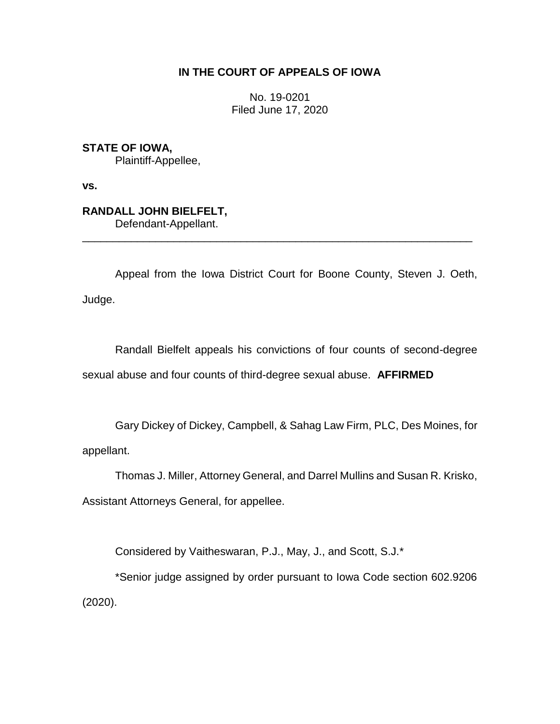## **IN THE COURT OF APPEALS OF IOWA**

No. 19-0201 Filed June 17, 2020

**STATE OF IOWA,**

Plaintiff-Appellee,

**vs.**

**RANDALL JOHN BIELFELT,** Defendant-Appellant.

Appeal from the Iowa District Court for Boone County, Steven J. Oeth, Judge.

\_\_\_\_\_\_\_\_\_\_\_\_\_\_\_\_\_\_\_\_\_\_\_\_\_\_\_\_\_\_\_\_\_\_\_\_\_\_\_\_\_\_\_\_\_\_\_\_\_\_\_\_\_\_\_\_\_\_\_\_\_\_\_\_

Randall Bielfelt appeals his convictions of four counts of second-degree sexual abuse and four counts of third-degree sexual abuse. **AFFIRMED**

Gary Dickey of Dickey, Campbell, & Sahag Law Firm, PLC, Des Moines, for appellant.

Thomas J. Miller, Attorney General, and Darrel Mullins and Susan R. Krisko,

Assistant Attorneys General, for appellee.

Considered by Vaitheswaran, P.J., May, J., and Scott, S.J.\*

\*Senior judge assigned by order pursuant to Iowa Code section 602.9206 (2020).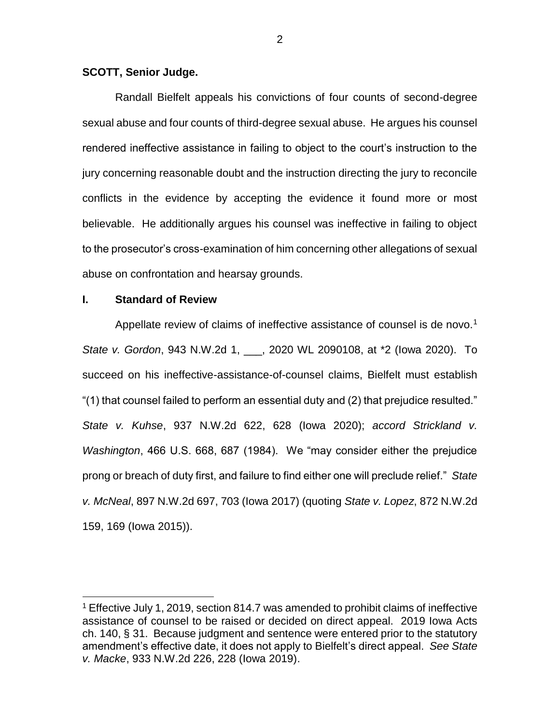#### **SCOTT, Senior Judge.**

Randall Bielfelt appeals his convictions of four counts of second-degree sexual abuse and four counts of third-degree sexual abuse. He argues his counsel rendered ineffective assistance in failing to object to the court's instruction to the jury concerning reasonable doubt and the instruction directing the jury to reconcile conflicts in the evidence by accepting the evidence it found more or most believable. He additionally argues his counsel was ineffective in failing to object to the prosecutor's cross-examination of him concerning other allegations of sexual abuse on confrontation and hearsay grounds.

### **I. Standard of Review**

 $\overline{a}$ 

Appellate review of claims of ineffective assistance of counsel is de novo.<sup>1</sup> *State v. Gordon*, 943 N.W.2d 1, \_\_\_, 2020 WL 2090108, at \*2 (Iowa 2020). To succeed on his ineffective-assistance-of-counsel claims, Bielfelt must establish "(1) that counsel failed to perform an essential duty and (2) that prejudice resulted." *State v. Kuhse*, 937 N.W.2d 622, 628 (Iowa 2020); *accord Strickland v. Washington*, 466 U.S. 668, 687 (1984). We "may consider either the prejudice prong or breach of duty first, and failure to find either one will preclude relief." *State v. McNeal*, 897 N.W.2d 697, 703 (Iowa 2017) (quoting *State v. Lopez*, 872 N.W.2d 159, 169 (Iowa 2015)).

<sup>1</sup> Effective July 1, 2019, section 814.7 was amended to prohibit claims of ineffective assistance of counsel to be raised or decided on direct appeal. 2019 Iowa Acts ch. 140, § 31. Because judgment and sentence were entered prior to the statutory amendment's effective date, it does not apply to Bielfelt's direct appeal. *See State v. Macke*, 933 N.W.2d 226, 228 (Iowa 2019).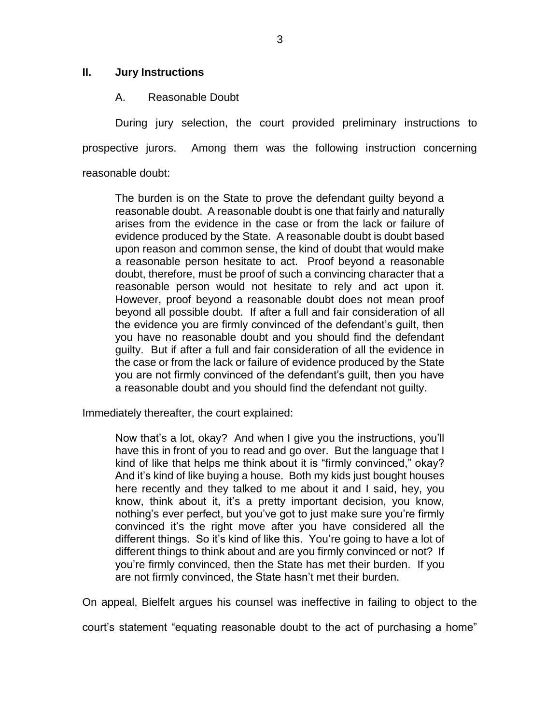### **II. Jury Instructions**

### A. Reasonable Doubt

During jury selection, the court provided preliminary instructions to prospective jurors. Among them was the following instruction concerning reasonable doubt:

The burden is on the State to prove the defendant guilty beyond a reasonable doubt. A reasonable doubt is one that fairly and naturally arises from the evidence in the case or from the lack or failure of evidence produced by the State. A reasonable doubt is doubt based upon reason and common sense, the kind of doubt that would make a reasonable person hesitate to act. Proof beyond a reasonable doubt, therefore, must be proof of such a convincing character that a reasonable person would not hesitate to rely and act upon it. However, proof beyond a reasonable doubt does not mean proof beyond all possible doubt. If after a full and fair consideration of all the evidence you are firmly convinced of the defendant's guilt, then you have no reasonable doubt and you should find the defendant guilty. But if after a full and fair consideration of all the evidence in the case or from the lack or failure of evidence produced by the State you are not firmly convinced of the defendant's guilt, then you have a reasonable doubt and you should find the defendant not guilty.

Immediately thereafter, the court explained:

Now that's a lot, okay? And when I give you the instructions, you'll have this in front of you to read and go over. But the language that I kind of like that helps me think about it is "firmly convinced," okay? And it's kind of like buying a house. Both my kids just bought houses here recently and they talked to me about it and I said, hey, you know, think about it, it's a pretty important decision, you know, nothing's ever perfect, but you've got to just make sure you're firmly convinced it's the right move after you have considered all the different things. So it's kind of like this. You're going to have a lot of different things to think about and are you firmly convinced or not? If you're firmly convinced, then the State has met their burden. If you are not firmly convinced, the State hasn't met their burden.

On appeal, Bielfelt argues his counsel was ineffective in failing to object to the

court's statement "equating reasonable doubt to the act of purchasing a home"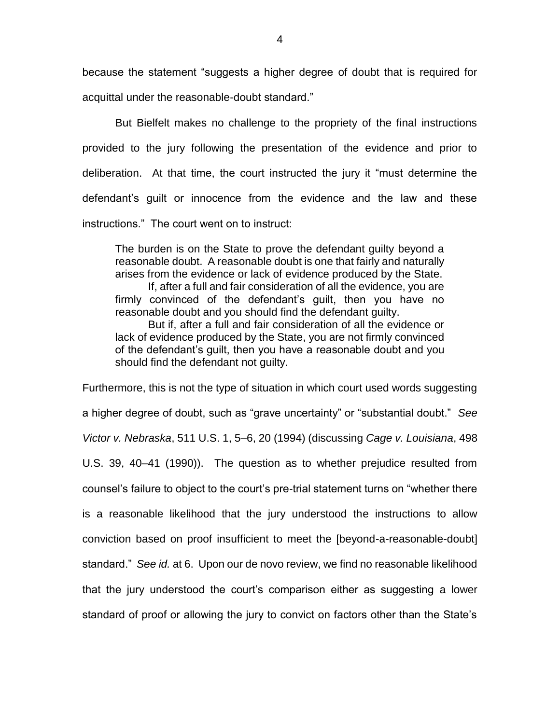because the statement "suggests a higher degree of doubt that is required for acquittal under the reasonable-doubt standard."

But Bielfelt makes no challenge to the propriety of the final instructions provided to the jury following the presentation of the evidence and prior to deliberation. At that time, the court instructed the jury it "must determine the defendant's guilt or innocence from the evidence and the law and these instructions." The court went on to instruct:

The burden is on the State to prove the defendant guilty beyond a reasonable doubt. A reasonable doubt is one that fairly and naturally arises from the evidence or lack of evidence produced by the State. If, after a full and fair consideration of all the evidence, you are

firmly convinced of the defendant's guilt, then you have no reasonable doubt and you should find the defendant guilty.

But if, after a full and fair consideration of all the evidence or lack of evidence produced by the State, you are not firmly convinced of the defendant's guilt, then you have a reasonable doubt and you should find the defendant not guilty.

Furthermore, this is not the type of situation in which court used words suggesting a higher degree of doubt, such as "grave uncertainty" or "substantial doubt." *See Victor v. Nebraska*, 511 U.S. 1, 5–6, 20 (1994) (discussing *Cage v. Louisiana*, 498 U.S. 39, 40–41 (1990)). The question as to whether prejudice resulted from counsel's failure to object to the court's pre-trial statement turns on "whether there is a reasonable likelihood that the jury understood the instructions to allow conviction based on proof insufficient to meet the [beyond-a-reasonable-doubt] standard." *See id.* at 6. Upon our de novo review, we find no reasonable likelihood that the jury understood the court's comparison either as suggesting a lower standard of proof or allowing the jury to convict on factors other than the State's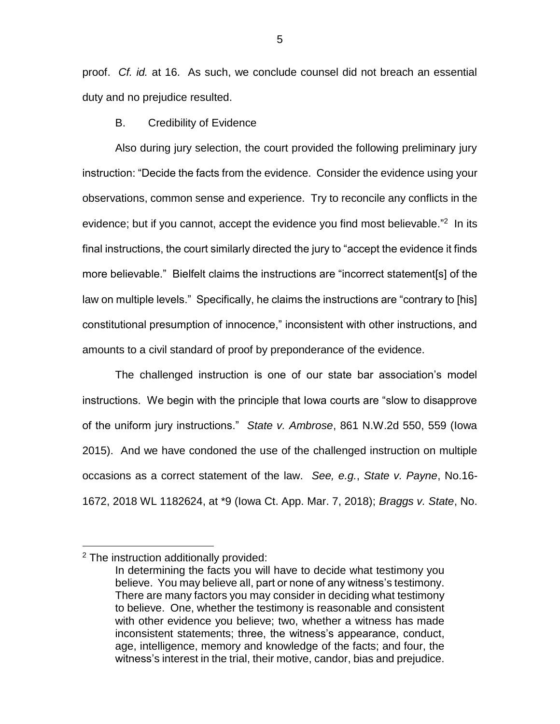proof. *Cf. id.* at 16. As such, we conclude counsel did not breach an essential duty and no prejudice resulted.

B. Credibility of Evidence

Also during jury selection, the court provided the following preliminary jury instruction: "Decide the facts from the evidence. Consider the evidence using your observations, common sense and experience. Try to reconcile any conflicts in the evidence; but if you cannot, accept the evidence you find most believable."<sup>2</sup> In its final instructions, the court similarly directed the jury to "accept the evidence it finds more believable." Bielfelt claims the instructions are "incorrect statement[s] of the law on multiple levels." Specifically, he claims the instructions are "contrary to [his] constitutional presumption of innocence," inconsistent with other instructions, and amounts to a civil standard of proof by preponderance of the evidence.

The challenged instruction is one of our state bar association's model instructions. We begin with the principle that Iowa courts are "slow to disapprove of the uniform jury instructions." *State v. Ambrose*, 861 N.W.2d 550, 559 (Iowa 2015). And we have condoned the use of the challenged instruction on multiple occasions as a correct statement of the law. *See, e.g.*, *State v. Payne*, No.16- 1672, 2018 WL 1182624, at \*9 (Iowa Ct. App. Mar. 7, 2018); *Braggs v. State*, No.

 $\overline{a}$ 

<sup>2</sup> The instruction additionally provided:

In determining the facts you will have to decide what testimony you believe. You may believe all, part or none of any witness's testimony. There are many factors you may consider in deciding what testimony to believe. One, whether the testimony is reasonable and consistent with other evidence you believe; two, whether a witness has made inconsistent statements; three, the witness's appearance, conduct, age, intelligence, memory and knowledge of the facts; and four, the witness's interest in the trial, their motive, candor, bias and prejudice.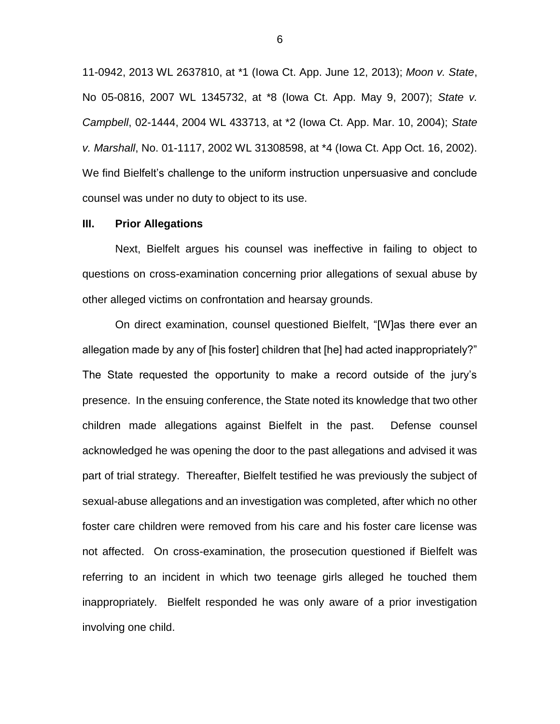11-0942, 2013 WL 2637810, at \*1 (Iowa Ct. App. June 12, 2013); *Moon v. State*, No 05-0816, 2007 WL 1345732, at \*8 (Iowa Ct. App. May 9, 2007); *State v. Campbell*, 02-1444, 2004 WL 433713, at \*2 (Iowa Ct. App. Mar. 10, 2004); *State v. Marshall*, No. 01-1117, 2002 WL 31308598, at \*4 (Iowa Ct. App Oct. 16, 2002). We find Bielfelt's challenge to the uniform instruction unpersuasive and conclude counsel was under no duty to object to its use.

#### **III. Prior Allegations**

Next, Bielfelt argues his counsel was ineffective in failing to object to questions on cross-examination concerning prior allegations of sexual abuse by other alleged victims on confrontation and hearsay grounds.

On direct examination, counsel questioned Bielfelt, "[W]as there ever an allegation made by any of [his foster] children that [he] had acted inappropriately?" The State requested the opportunity to make a record outside of the jury's presence. In the ensuing conference, the State noted its knowledge that two other children made allegations against Bielfelt in the past. Defense counsel acknowledged he was opening the door to the past allegations and advised it was part of trial strategy. Thereafter, Bielfelt testified he was previously the subject of sexual-abuse allegations and an investigation was completed, after which no other foster care children were removed from his care and his foster care license was not affected. On cross-examination, the prosecution questioned if Bielfelt was referring to an incident in which two teenage girls alleged he touched them inappropriately. Bielfelt responded he was only aware of a prior investigation involving one child.

6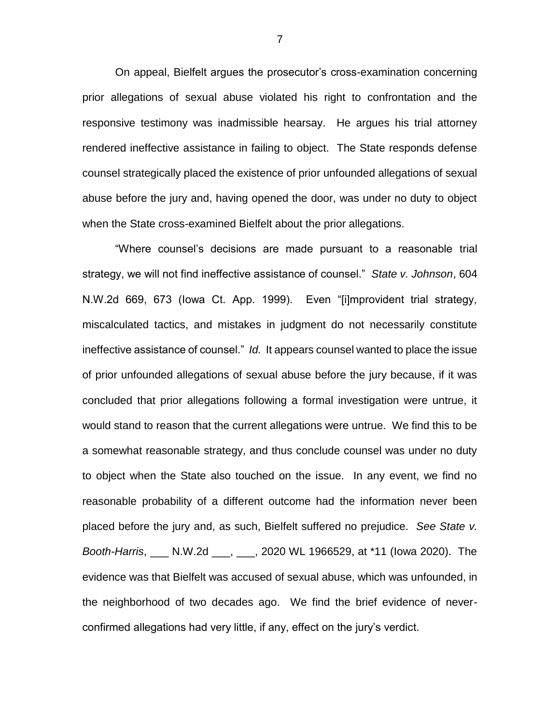On appeal, Bielfelt argues the prosecutor's cross-examination concerning prior allegations of sexual abuse violated his right to confrontation and the responsive testimony was inadmissible hearsay. He argues his trial attorney rendered ineffective assistance in failing to object. The State responds defense counsel strategically placed the existence of prior unfounded allegations of sexual abuse before the jury and, having opened the door, was under no duty to object when the State cross-examined Bielfelt about the prior allegations.

"Where counsel's decisions are made pursuant to a reasonable trial strategy, we will not find ineffective assistance of counsel." *State v. Johnson*, 604 N.W.2d 669, 673 (Iowa Ct. App. 1999). Even "[i]mprovident trial strategy, miscalculated tactics, and mistakes in judgment do not necessarily constitute ineffective assistance of counsel." *Id.* It appears counsel wanted to place the issue of prior unfounded allegations of sexual abuse before the jury because, if it was concluded that prior allegations following a formal investigation were untrue, it would stand to reason that the current allegations were untrue. We find this to be a somewhat reasonable strategy, and thus conclude counsel was under no duty to object when the State also touched on the issue. In any event, we find no reasonable probability of a different outcome had the information never been placed before the jury and, as such, Bielfelt suffered no prejudice. *See State v. Booth-Harris*, \_\_\_ N.W.2d \_\_\_, \_\_\_, 2020 WL 1966529, at \*11 (Iowa 2020). The evidence was that Bielfelt was accused of sexual abuse, which was unfounded, in the neighborhood of two decades ago. We find the brief evidence of neverconfirmed allegations had very little, if any, effect on the jury's verdict.

7